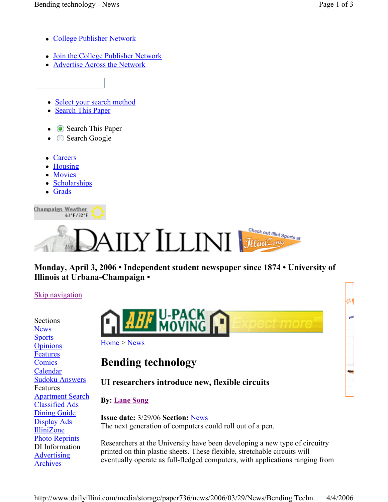۵Ń

ppd

- College Publisher Network
- Join the College Publisher Network
- Advertise Across the Network
- Select your search method
- Search This Paper
- Search This Paper
- $\bullet$   $\circ$  Search Google
- Careers
- Housing
- Movies
- Scholarships

63°F/32°F

Grads

Champaign Weather



### **Monday, April 3, 2006 • Independent student newspaper since 1874 • University of Illinois at Urbana-Champaign •**

#### Skip navigation

Sections News **Sports Opinions** Features **Comics** Calendar Sudoku Answers Features Apartment Search Classified Ads Dining Guide Display Ads IlliniZone Photo Reprints DI Information **Advertising** Archives



Home > News

# **Bending technology**

# **UI researchers introduce new, flexible circuits**

## **By: Lane Song**

**Issue date:** 3/29/06 **Section:** News The next generation of computers could roll out of a pen.

Researchers at the University have been developing a new type of circuitry printed on thin plastic sheets. These flexible, stretchable circuits will eventually operate as full-fledged computers, with applications ranging from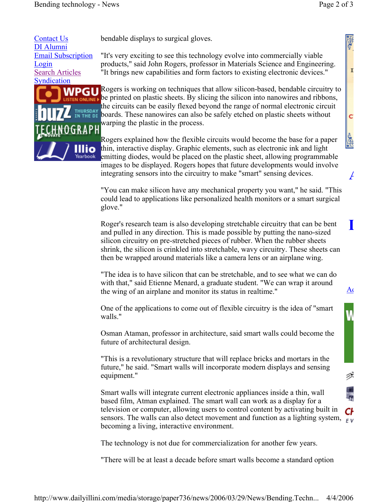**A**

I

C

Š

**L**

 $A<sub>0</sub>$ 

₹

Contact Us DI Alumni Email Subscription Login Search Articles **Syndication** 



bendable displays to surgical gloves.

"It's very exciting to see this technology evolve into commercially viable products," said John Rogers, professor in Materials Science and Engineering. "It brings new capabilities and form factors to existing electronic devices."

Rogers is working on techniques that allow silicon-based, bendable circuitry to be printed on plastic sheets. By slicing the silicon into nanowires and ribbons, the circuits can be easily flexed beyond the range of normal electronic circuit boards. These nanowires can also be safely etched on plastic sheets without warping the plastic in the process.

Rogers explained how the flexible circuits would become the base for a paper thin, interactive display. Graphic elements, such as electronic ink and light emitting diodes, would be placed on the plastic sheet, allowing programmable images to be displayed. Rogers hopes that future developments would involve integrating sensors into the circuitry to make "smart" sensing devices.

"You can make silicon have any mechanical property you want," he said. "This could lead to applications like personalized health monitors or a smart surgical glove."

Roger's research team is also developing stretchable circuitry that can be bent and pulled in any direction. This is made possible by putting the nano-sized silicon circuitry on pre-stretched pieces of rubber. When the rubber sheets shrink, the silicon is crinkled into stretchable, wavy circuitry. These sheets can then be wrapped around materials like a camera lens or an airplane wing.

"The idea is to have silicon that can be stretchable, and to see what we can do with that," said Etienne Menard, a graduate student. "We can wrap it around the wing of an airplane and monitor its status in realtime."

One of the applications to come out of flexible circuitry is the idea of "smart walls."

Osman Ataman, professor in architecture, said smart walls could become the future of architectural design.

"This is a revolutionary structure that will replace bricks and mortars in the future," he said. "Smart walls will incorporate modern displays and sensing equipment."

Smart walls will integrate current electronic appliances inside a thin, wall based film, Atman explained. The smart wall can work as a display for a television or computer, allowing users to control content by activating built in Сŀ sensors. The walls can also detect movement and function as a lighting system,  $\frac{1}{\sqrt{5}}$ becoming a living, interactive environment.

The technology is not due for commercialization for another few years.

"There will be at least a decade before smart walls become a standard option